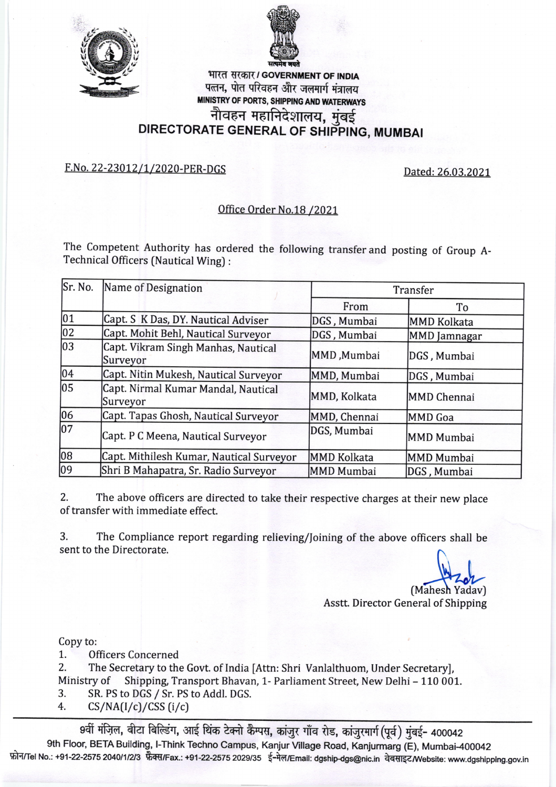



## भारत सरकार / GOVERNMENT OF INDIA पत्तन, पोत परिवहन और जलमार्ग मंत्रालय MINISTRY OF PORTS, SHIPPING AND WATERWAYS नौवहन महानिदेशालय, मुंबई नौवहन महानिदेशालय, मुंबई<br>DIRECTORATE GENERAL OF SHIPPING, MUMBAI

## F.No. 22-23012/1/2020-PER-DGS Dated: 26.03.2021

## Office Order No.18 /202L

The Competent Authority has ordered the following transfer and posting of Group A-Technical Officers (Nautical Wing) :

| Sr. No.         | Name of Designation                             | Transfer           |                     |
|-----------------|-------------------------------------------------|--------------------|---------------------|
|                 |                                                 | From               | To                  |
| 01              | Capt. S K Das, DY. Nautical Adviser             | DGS, Mumbai        | <b>MMD Kolkata</b>  |
| 02              | Capt. Mohit Behl, Nautical Surveyor             | DGS, Mumbai        | <b>MMD</b> Jamnagar |
| $ 03\rangle$    | Capt. Vikram Singh Manhas, Nautical<br>Surveyor | MMD, Mumbai        | DGS, Mumbai         |
| 04              | Capt. Nitin Mukesh, Nautical Surveyor           | MMD, Mumbai        | DGS, Mumbai         |
| $\overline{05}$ | Capt. Nirmal Kumar Mandal, Nautical<br>Surveyor | MMD, Kolkata       | MMD Chennai         |
| 06              | Capt. Tapas Ghosh, Nautical Surveyor            | MMD, Chennai       | MMD Goa             |
| $\overline{07}$ | Capt. P C Meena, Nautical Surveyor              | DGS, Mumbai        | MMD Mumbai          |
| 08              | Capt. Mithilesh Kumar, Nautical Surveyor        | <b>MMD Kolkata</b> | MMD Mumbai          |
| 09              | Shri B Mahapatra, Sr. Radio Surveyor            | <b>MMD Mumbai</b>  | DGS, Mumbai         |

2. The above officers are directed to take their respective charges at their new place of transfer with immediate effect.

3, The Compliance report regarding relieving/foining of the above officers shall be sent to the Directorate.

Asstt. Director General of Shipping (Mahesh Yadav)

Copy to:

L. Officers Concerned

2. The Secretary to the Govt. of India [Attn: Shri Vanlalthuom, Under Secretary],<br>Ministry of Shipping, Transport Bhavan. 1- Parliament Street. New Delhi – 110 001 Ministry of Shipping, Transport Bhavan, 1- Parliament Street, New Delhi - 110 001.<br>3. SR. PS to DGS / Sr. PS to Addl. DGS.

- 3. SR. PS to DGS / Sr. PS to Addl. DGS.<br>4.  $CS/NA(I/c)/CSS$  (i/c)
- 

9वीं मंज़िल, बीटा बिल्डिंग, आई थिंक टेक्नो कैम्पस, कांज़ुर गाँव रोड, कांज़ुरमार्ग (पूर्व) मुंबई- 400042 9th Floor, BETA Building, I-Think Techno Campus, Kanjur Village Road, Kanjurmarg (E), Mumbai-400042 फ़ोन/Tel No.: +91-22-2575 2040/1/2/3 फ़ैक्स/Fax.: +91-22-2575 2029/35 ई-मेल/Email: dgship-dgs@nic.in वेबसाइट/Website: www.dgshipping.gov.in